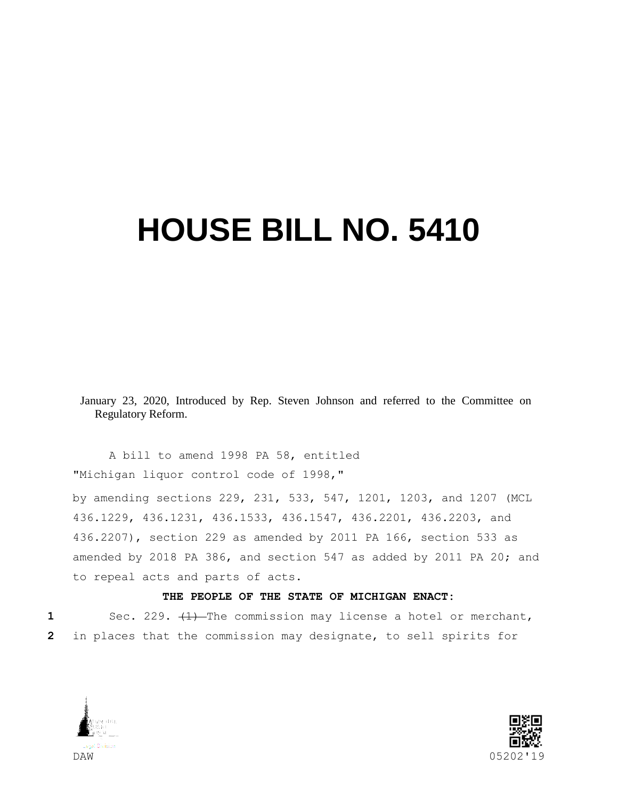## **HOUSE BILL NO. 5410**

January 23, 2020, Introduced by Rep. Steven Johnson and referred to the Committee on Regulatory Reform.

A bill to amend 1998 PA 58, entitled "Michigan liquor control code of 1998,"

by amending sections 229, 231, 533, 547, 1201, 1203, and 1207 (MCL 436.1229, 436.1231, 436.1533, 436.1547, 436.2201, 436.2203, and 436.2207), section 229 as amended by 2011 PA 166, section 533 as amended by 2018 PA 386, and section 547 as added by 2011 PA 20; and to repeal acts and parts of acts.

## **THE PEOPLE OF THE STATE OF MICHIGAN ENACT:**

1 Sec. 229.  $\left( +\right)$ -The commission may license a hotel or merchant, **2** in places that the commission may designate, to sell spirits for



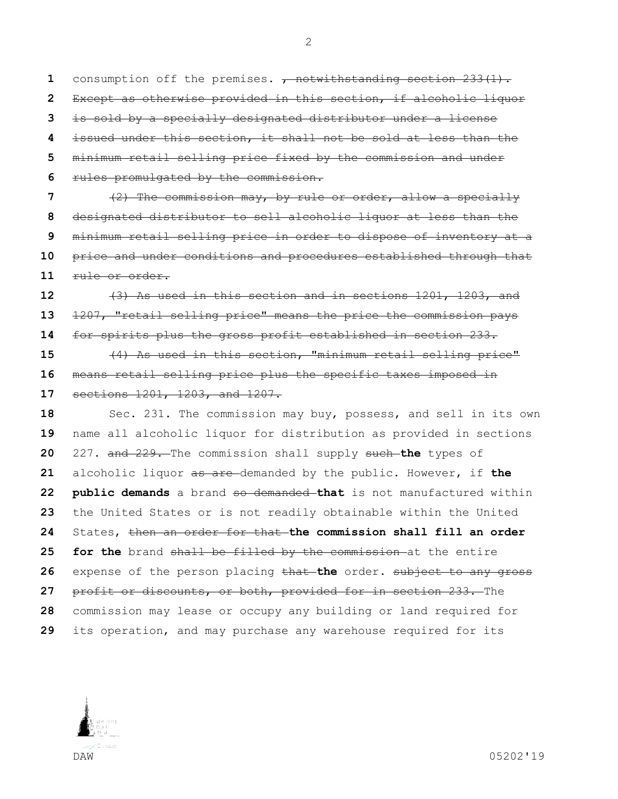1 consumption off the premises. <del>, notwithstanding section 233(1).</del> Except as otherwise provided in this section, if alcoholic liquor is sold by a specially designated distributor under a license issued under this section, it shall not be sold at less than the minimum retail selling price fixed by the commission and under rules promulgated by the commission. (2) The commission may, by rule or order, allow a specially designated distributor to sell alcoholic liquor at less than the minimum retail selling price in order to dispose of inventory at a price and under conditions and procedures established through that rule or order.

 (3) As used in this section and in sections 1201, 1203, and 1207, "retail selling price" means the price the commission pays for spirits plus the gross profit established in section 233. (4) As used in this section, "minimum retail selling price" means retail selling price plus the specific taxes imposed in sections 1201, 1203, and 1207. Sec. 231. The commission may buy, possess, and sell in its own name all alcoholic liquor for distribution as provided in sections 227**.** and 229. The commission shall supply such **the** types of alcoholic liquor as are demanded by the public. However, if **the public demands** a brand so demanded **that** is not manufactured within the United States or is not readily obtainable within the United States, then an order for that **the commission shall fill an order for the** brand shall be filled by the commission at the entire expense of the person placing that **the** order**.** subject to any gross profit or discounts, or both, provided for in section 233. The commission may lease or occupy any building or land required for

its operation, and may purchase any warehouse required for its

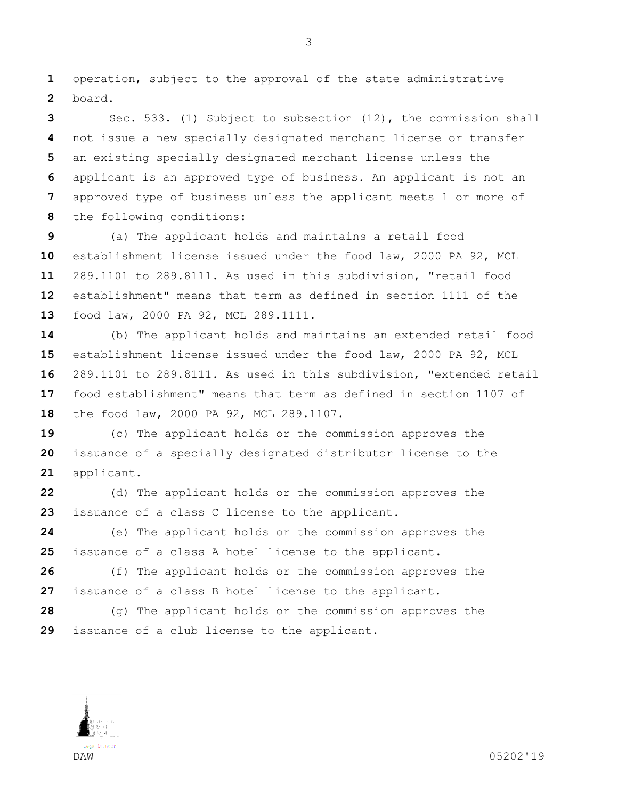operation, subject to the approval of the state administrative board.

 Sec. 533. (1) Subject to subsection (12), the commission shall not issue a new specially designated merchant license or transfer an existing specially designated merchant license unless the applicant is an approved type of business. An applicant is not an approved type of business unless the applicant meets 1 or more of the following conditions:

 (a) The applicant holds and maintains a retail food establishment license issued under the food law, 2000 PA 92, MCL 289.1101 to 289.8111. As used in this subdivision, "retail food establishment" means that term as defined in section 1111 of the food law, 2000 PA 92, MCL 289.1111.

 (b) The applicant holds and maintains an extended retail food establishment license issued under the food law, 2000 PA 92, MCL 289.1101 to 289.8111. As used in this subdivision, "extended retail food establishment" means that term as defined in section 1107 of the food law, 2000 PA 92, MCL 289.1107.

 (c) The applicant holds or the commission approves the issuance of a specially designated distributor license to the applicant.

 (d) The applicant holds or the commission approves the issuance of a class C license to the applicant.

 (e) The applicant holds or the commission approves the issuance of a class A hotel license to the applicant.

 (f) The applicant holds or the commission approves the issuance of a class B hotel license to the applicant.

 (g) The applicant holds or the commission approves the issuance of a club license to the applicant.

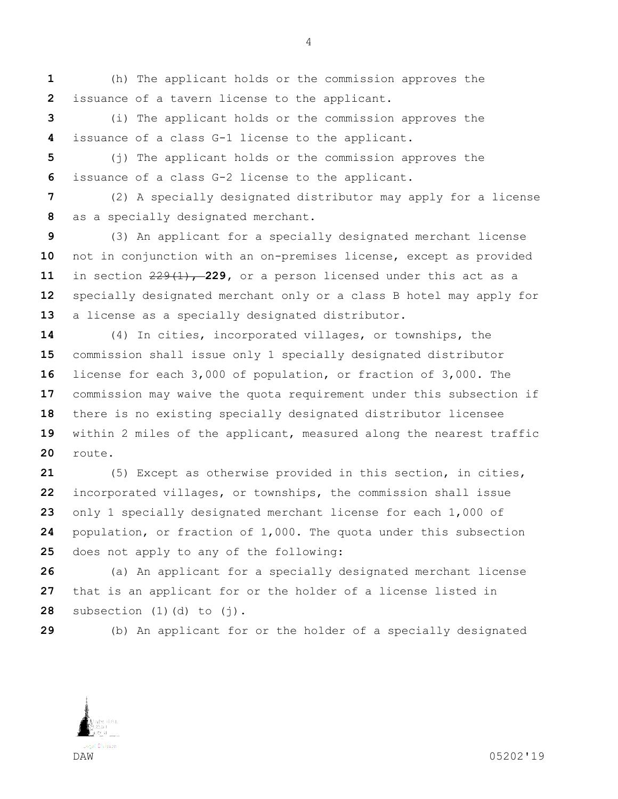(h) The applicant holds or the commission approves the issuance of a tavern license to the applicant.

 (i) The applicant holds or the commission approves the issuance of a class G-1 license to the applicant.

 (j) The applicant holds or the commission approves the issuance of a class G-2 license to the applicant.

 (2) A specially designated distributor may apply for a license as a specially designated merchant.

 (3) An applicant for a specially designated merchant license not in conjunction with an on-premises license, except as provided in section 229(1), **229,** or a person licensed under this act as a specially designated merchant only or a class B hotel may apply for a license as a specially designated distributor.

 (4) In cities, incorporated villages, or townships, the commission shall issue only 1 specially designated distributor license for each 3,000 of population, or fraction of 3,000. The commission may waive the quota requirement under this subsection if there is no existing specially designated distributor licensee within 2 miles of the applicant, measured along the nearest traffic route.

 (5) Except as otherwise provided in this section, in cities, incorporated villages, or townships, the commission shall issue only 1 specially designated merchant license for each 1,000 of population, or fraction of 1,000. The quota under this subsection does not apply to any of the following:

 (a) An applicant for a specially designated merchant license that is an applicant for or the holder of a license listed in subsection (1)(d) to (j).

(b) An applicant for or the holder of a specially designated



DAW 05202'19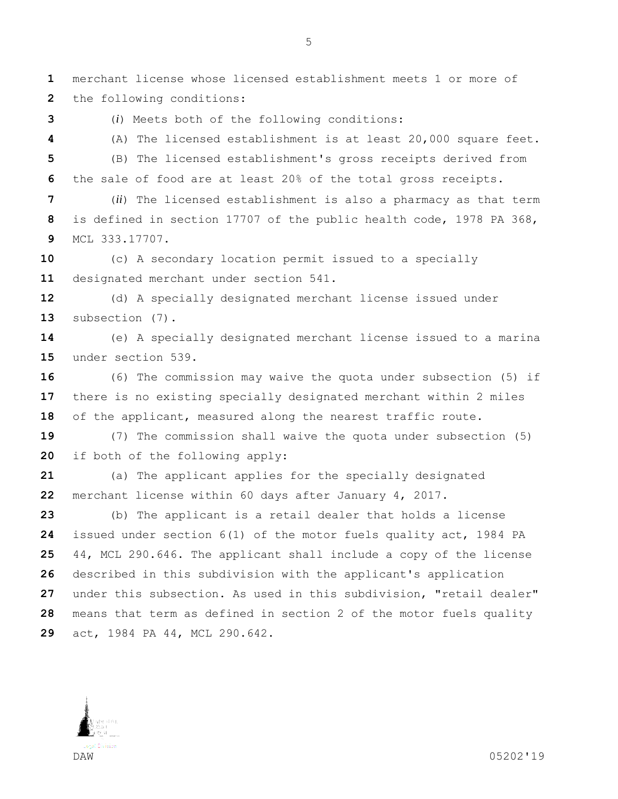merchant license whose licensed establishment meets 1 or more of the following conditions:

(*i*) Meets both of the following conditions:

(A) The licensed establishment is at least 20,000 square feet.

 (B) The licensed establishment's gross receipts derived from the sale of food are at least 20% of the total gross receipts.

 (*ii*) The licensed establishment is also a pharmacy as that term is defined in section 17707 of the public health code, 1978 PA 368, MCL 333.17707.

 (c) A secondary location permit issued to a specially designated merchant under section 541.

 (d) A specially designated merchant license issued under subsection (7).

 (e) A specially designated merchant license issued to a marina under section 539.

 (6) The commission may waive the quota under subsection (5) if there is no existing specially designated merchant within 2 miles of the applicant, measured along the nearest traffic route.

 (7) The commission shall waive the quota under subsection (5) if both of the following apply:

 (a) The applicant applies for the specially designated merchant license within 60 days after January 4, 2017.

 (b) The applicant is a retail dealer that holds a license issued under section 6(1) of the motor fuels quality act, 1984 PA 44, MCL 290.646. The applicant shall include a copy of the license described in this subdivision with the applicant's application under this subsection. As used in this subdivision, "retail dealer" means that term as defined in section 2 of the motor fuels quality act, 1984 PA 44, MCL 290.642.



DAW 05202'19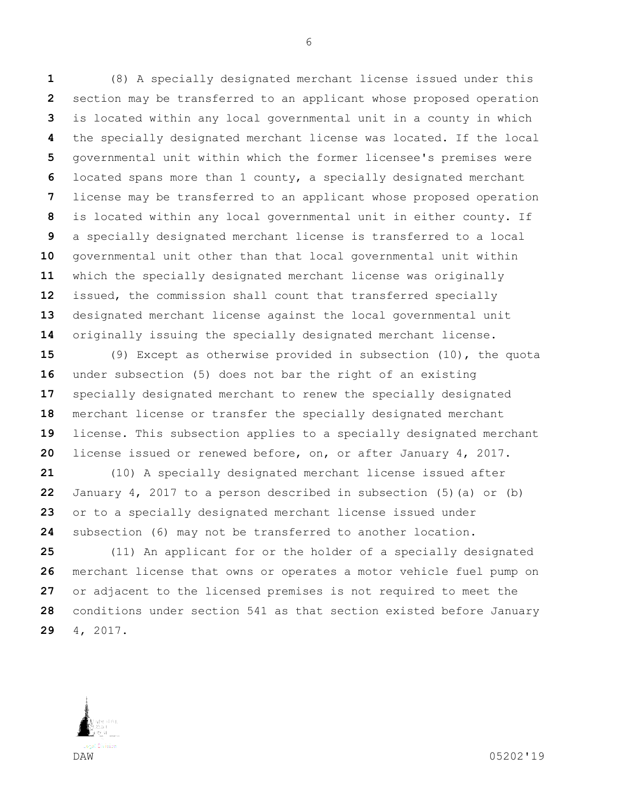(8) A specially designated merchant license issued under this section may be transferred to an applicant whose proposed operation is located within any local governmental unit in a county in which the specially designated merchant license was located. If the local governmental unit within which the former licensee's premises were located spans more than 1 county, a specially designated merchant license may be transferred to an applicant whose proposed operation is located within any local governmental unit in either county. If a specially designated merchant license is transferred to a local governmental unit other than that local governmental unit within which the specially designated merchant license was originally issued, the commission shall count that transferred specially designated merchant license against the local governmental unit originally issuing the specially designated merchant license.

 (9) Except as otherwise provided in subsection (10), the quota under subsection (5) does not bar the right of an existing specially designated merchant to renew the specially designated merchant license or transfer the specially designated merchant license. This subsection applies to a specially designated merchant license issued or renewed before, on, or after January 4, 2017.

 (10) A specially designated merchant license issued after January 4, 2017 to a person described in subsection (5)(a) or (b) or to a specially designated merchant license issued under subsection (6) may not be transferred to another location.

 (11) An applicant for or the holder of a specially designated merchant license that owns or operates a motor vehicle fuel pump on or adjacent to the licensed premises is not required to meet the conditions under section 541 as that section existed before January 4, 2017.

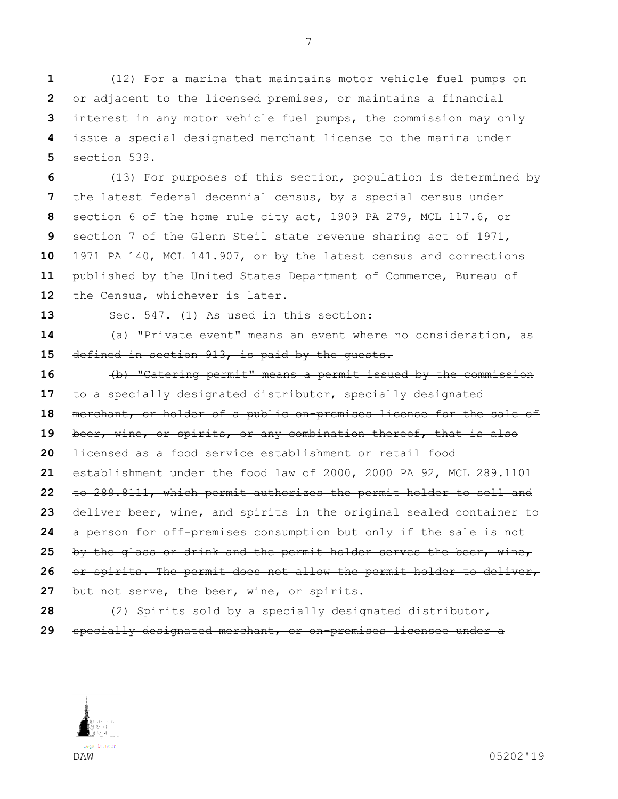(12) For a marina that maintains motor vehicle fuel pumps on or adjacent to the licensed premises, or maintains a financial interest in any motor vehicle fuel pumps, the commission may only issue a special designated merchant license to the marina under section 539.

 (13) For purposes of this section, population is determined by the latest federal decennial census, by a special census under section 6 of the home rule city act, 1909 PA 279, MCL 117.6, or section 7 of the Glenn Steil state revenue sharing act of 1971, 1971 PA 140, MCL 141.907, or by the latest census and corrections published by the United States Department of Commerce, Bureau of 12 the Census, whichever is later.

13 Sec. 547.  $\left(1\right)$  As used in this section:

 (a) "Private event" means an event where no consideration, as defined in section 913, is paid by the guests.

 (b) "Catering permit" means a permit issued by the commission to a specially designated distributor, specially designated merchant, or holder of a public on-premises license for the sale of beer, wine, or spirits, or any combination thereof, that is also licensed as a food service establishment or retail food establishment under the food law of 2000, 2000 PA 92, MCL 289.1101 to 289.8111, which permit authorizes the permit holder to sell and deliver beer, wine, and spirits in the original sealed container to a person for off-premises consumption but only if the sale is not by the glass or drink and the permit holder serves the beer, wine, or spirits. The permit does not allow the permit holder to deliver, but not serve, the beer, wine, or spirits. (2) Spirits sold by a specially designated distributor,

specially designated merchant, or on-premises licensee under a

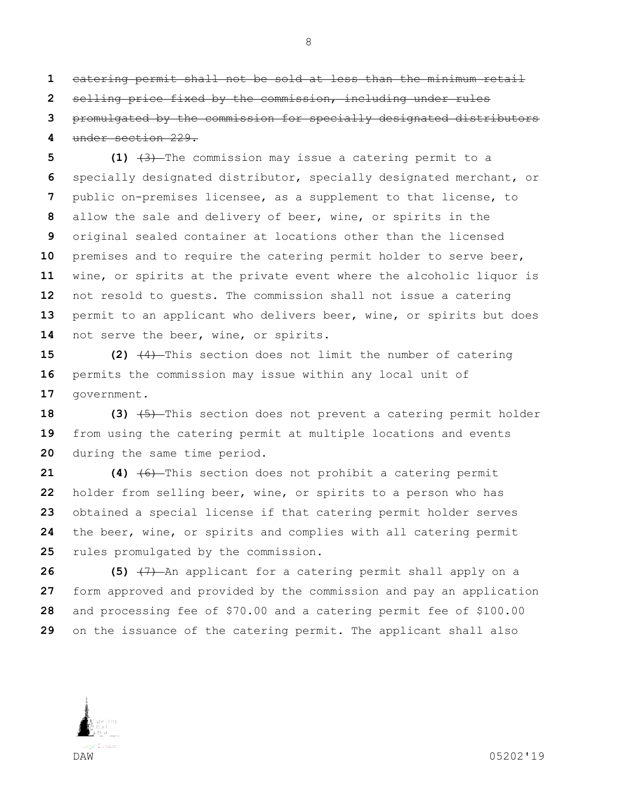catering permit shall not be sold at less than the minimum retail selling price fixed by the commission, including under rules promulgated by the commission for specially designated distributors under section 229.

 **(1)**  $\left(3\right)$  The commission may issue a catering permit to a specially designated distributor, specially designated merchant, or public on-premises licensee, as a supplement to that license, to allow the sale and delivery of beer, wine, or spirits in the original sealed container at locations other than the licensed premises and to require the catering permit holder to serve beer, wine, or spirits at the private event where the alcoholic liquor is not resold to guests. The commission shall not issue a catering permit to an applicant who delivers beer, wine, or spirits but does 14 not serve the beer, wine, or spirits.

 **(2)** (4) This section does not limit the number of catering permits the commission may issue within any local unit of government.

 **(3)** (5) This section does not prevent a catering permit holder from using the catering permit at multiple locations and events during the same time period.

 **(4)** (6) This section does not prohibit a catering permit holder from selling beer, wine, or spirits to a person who has obtained a special license if that catering permit holder serves the beer, wine, or spirits and complies with all catering permit rules promulgated by the commission.

 **(5)** (7) An applicant for a catering permit shall apply on a form approved and provided by the commission and pay an application and processing fee of \$70.00 and a catering permit fee of \$100.00 on the issuance of the catering permit. The applicant shall also

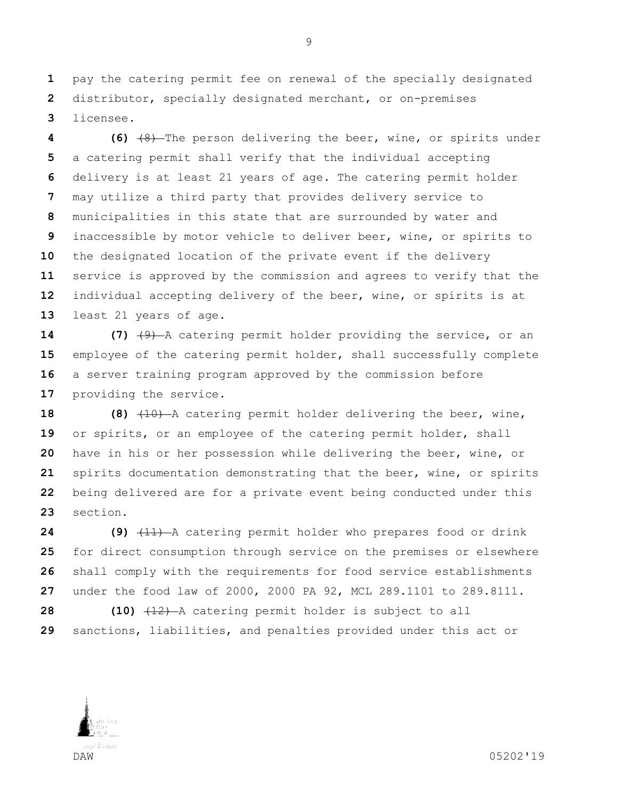pay the catering permit fee on renewal of the specially designated distributor, specially designated merchant, or on-premises licensee.

 **(6)** (8) The person delivering the beer, wine, or spirits under a catering permit shall verify that the individual accepting delivery is at least 21 years of age. The catering permit holder may utilize a third party that provides delivery service to municipalities in this state that are surrounded by water and inaccessible by motor vehicle to deliver beer, wine, or spirits to the designated location of the private event if the delivery service is approved by the commission and agrees to verify that the individual accepting delivery of the beer, wine, or spirits is at least 21 years of age.

**(7)**  $\left(9\right)$  A catering permit holder providing the service, or an employee of the catering permit holder, shall successfully complete a server training program approved by the commission before providing the service.

 **(8)** (10) A catering permit holder delivering the beer, wine, or spirits, or an employee of the catering permit holder, shall have in his or her possession while delivering the beer, wine, or spirits documentation demonstrating that the beer, wine, or spirits being delivered are for a private event being conducted under this section.

 **(9)** (11) A catering permit holder who prepares food or drink for direct consumption through service on the premises or elsewhere shall comply with the requirements for food service establishments under the food law of 2000, 2000 PA 92, MCL 289.1101 to 289.8111.

 **(10)** (12) A catering permit holder is subject to all sanctions, liabilities, and penalties provided under this act or

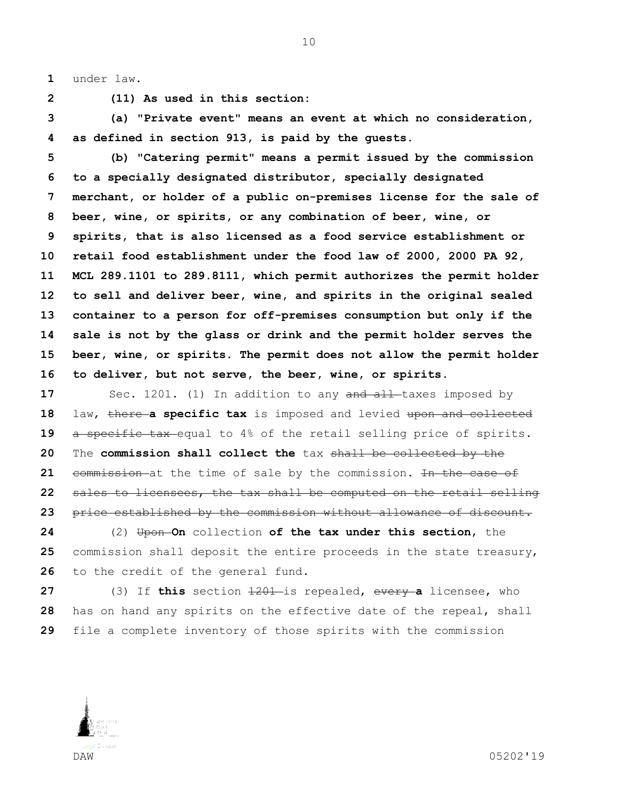under law.

**(11) As used in this section:**

 **(a) "Private event" means an event at which no consideration, as defined in section 913, is paid by the guests.**

 **(b) "Catering permit" means a permit issued by the commission to a specially designated distributor, specially designated merchant, or holder of a public on-premises license for the sale of beer, wine, or spirits, or any combination of beer, wine, or spirits, that is also licensed as a food service establishment or retail food establishment under the food law of 2000, 2000 PA 92, MCL 289.1101 to 289.8111, which permit authorizes the permit holder to sell and deliver beer, wine, and spirits in the original sealed container to a person for off-premises consumption but only if the sale is not by the glass or drink and the permit holder serves the beer, wine, or spirits. The permit does not allow the permit holder to deliver, but not serve, the beer, wine, or spirits.**

 Sec. 1201. (1) In addition to any and all taxes imposed by 18 law, there a specific tax is imposed and levied upon and collected 19 a specific tax equal to 4% of the retail selling price of spirits. The **commission shall collect the** tax shall be collected by the 21 commission at the time of sale by the commission. In the case of sales to licensees, the tax shall be computed on the retail selling price established by the commission without allowance of discount.

 (2) Upon **On** collection **of the tax under this section**, the commission shall deposit the entire proceeds in the state treasury, to the credit of the general fund.

 (3) If **this** section 1201 is repealed, every **a** licensee, who has on hand any spirits on the effective date of the repeal, shall file a complete inventory of those spirits with the commission

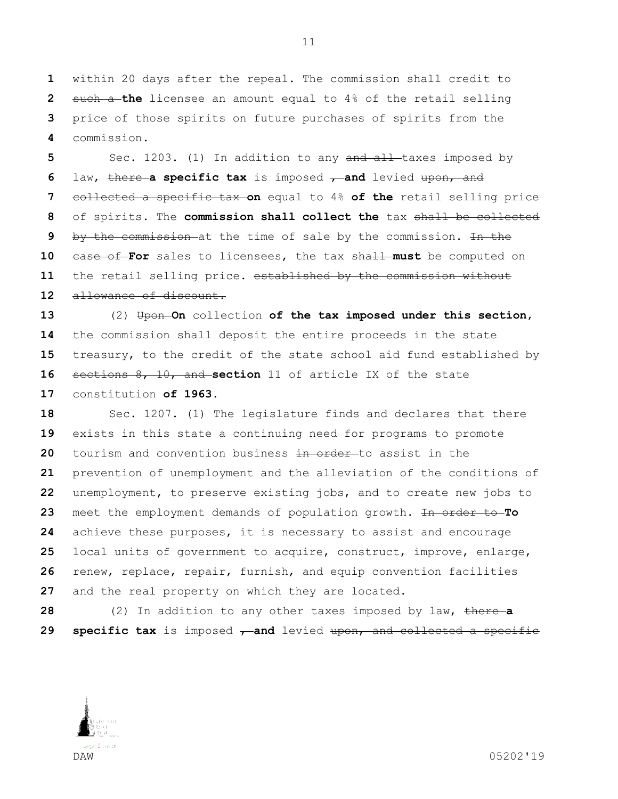within 20 days after the repeal. The commission shall credit to such a **the** licensee an amount equal to 4% of the retail selling price of those spirits on future purchases of spirits from the commission.

 Sec. 1203. (1) In addition to any and all taxes imposed by law, there a specific tax is imposed  $\tau$  and levied upon, and collected a specific tax **on** equal to 4% **of the** retail selling price of spirits. The **commission shall collect the** tax shall be collected by the commission at the time of sale by the commission. In the case of **For** sales to licensees, the tax shall **must** be computed on the retail selling price**.** established by the commission without allowance of discount.

 (2) Upon **On** collection **of the tax imposed under this section**, the commission shall deposit the entire proceeds in the state treasury, to the credit of the state school aid fund established by sections 8, 10, and **section** 11 of article IX of the state constitution **of 1963**.

 Sec. 1207. (1) The legislature finds and declares that there exists in this state a continuing need for programs to promote tourism and convention business in order to assist in the prevention of unemployment and the alleviation of the conditions of unemployment, to preserve existing jobs, and to create new jobs to meet the employment demands of population growth. In order to **To**  achieve these purposes, it is necessary to assist and encourage local units of government to acquire, construct, improve, enlarge, renew, replace, repair, furnish, and equip convention facilities and the real property on which they are located.

 (2) In addition to any other taxes imposed by law, there **a**  29 **specific tax** is imposed  $\tau$  and levied upon, and collected a specific